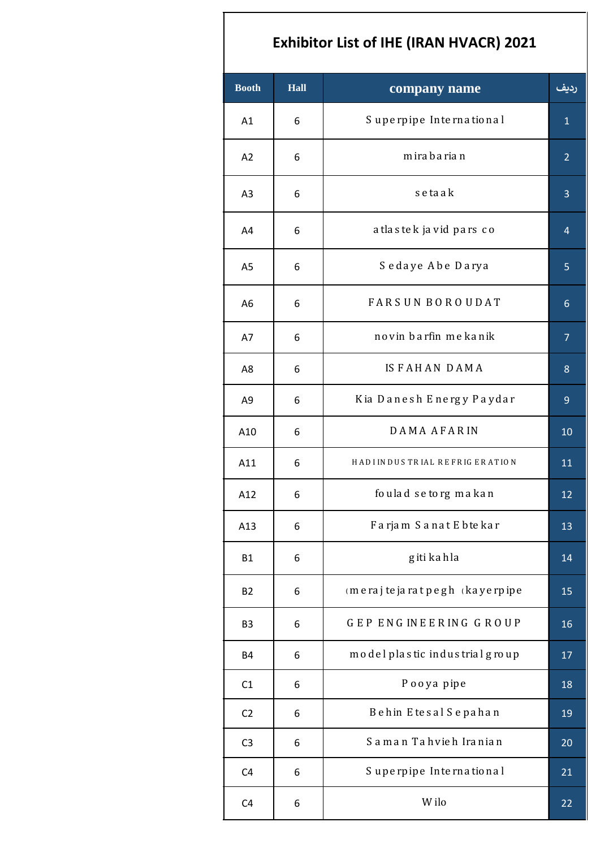## **Exhibitor List of IHE (IRAN HVACR) 2021**

| <b>Booth</b><br><b>Hall</b> |   | company name                          | رديف           |
|-----------------------------|---|---------------------------------------|----------------|
| A1                          | 6 | Superpipe International               | $\mathbf{1}$   |
| A2                          | 6 | m ira b a ria n                       | $\overline{2}$ |
| A <sub>3</sub>              | 6 | setaak                                | 3              |
| A4                          | 6 | a tla s te k ja vid pars co           | 4              |
| A <sub>5</sub>              | 6 | Sedaye Abe Darya                      | 5              |
| A <sub>6</sub>              | 6 | <b>FARSUN BOROUDAT</b>                | $6\phantom{1}$ |
| A7                          | 6 | novin barfin mekanik                  | $\overline{7}$ |
| A8                          | 6 | <b>ISFAHAN DAMA</b>                   | 8              |
| A <sub>9</sub>              | 6 | Kia Danesh Energy Paydar              | $\overline{9}$ |
| A10                         | 6 | DAMA AFARIN                           | 10             |
| A11                         | 6 | HADI INDUSTRIAL REFRIGERATION         | 11             |
| A12                         | 6 | foulad setorg makan                   | 12             |
| A13                         | 6 | Farjam Sanat E bte kar                | 13             |
| <b>B1</b>                   | 6 | g iti ka h la                         | 14             |
| <b>B2</b>                   | 6 | $m$ e raj te ja rat pegh (ka ye rpipe | 15             |
| B <sub>3</sub>              | 6 | GEP ENGINEERING GROUP                 | 16             |
| <b>B4</b>                   | 6 | model plastic industrial group        | 17             |
| C1                          | 6 | Pooya pipe                            | 18             |
| C <sub>2</sub>              | 6 | Behin Etesal Sepahan                  | 19             |
| C <sub>3</sub>              | 6 | Saman Tahvieh Iranian                 | 20             |
| C4                          | 6 | Superpipe International               | 21             |
| C <sub>4</sub>              | 6 | W ilo                                 | 22             |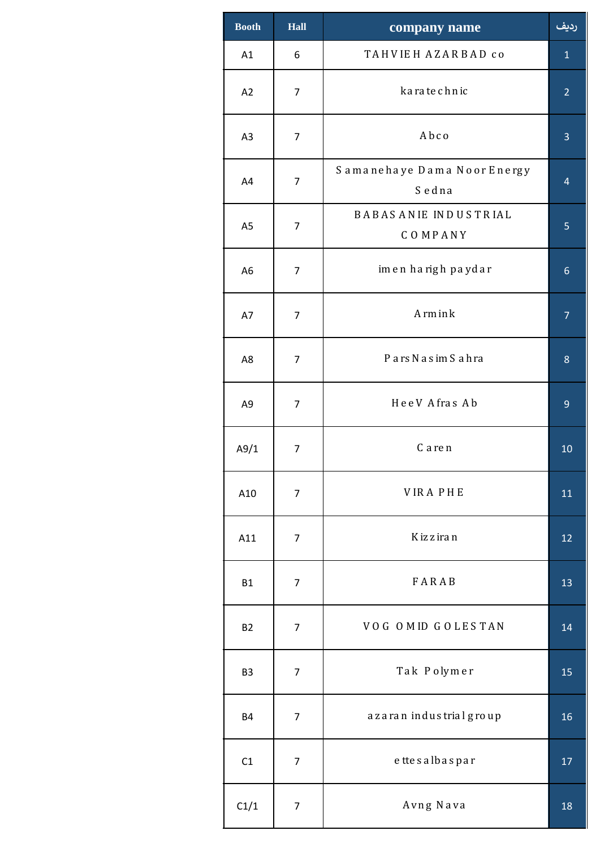| <b>Booth</b>   | Hall<br>company name |                                        | رديف           |
|----------------|----------------------|----------------------------------------|----------------|
| A1             | 6                    | TAHVIEH AZARBAD CO                     | $\mathbf{1}$   |
| A2             | $\overline{7}$       | ka ra te chnic                         | $\overline{2}$ |
| A3             | $\overline{7}$       | Abco                                   | 3              |
| A4             | $\overline{7}$       | Samanehaye Dama Noor Energy<br>Sedna   | $\overline{4}$ |
| A <sub>5</sub> | $\overline{7}$       | <b>BABASANIE INDUSTRIAL</b><br>COMPANY | 5              |
| A <sub>6</sub> | 7                    | imen harigh paydar                     | $6\phantom{1}$ |
| A7             | $\overline{7}$       | A rm in k                              | $\overline{7}$ |
| A8             | $\overline{7}$       | Pars Nasim Sahra                       | 8              |
| A9             | $\overline{7}$       | HeeV Afras Ab                          | 9              |
| A9/1           | $\overline{7}$       | C a re n                               | 10             |
| A10            | $\overline{7}$       | <b>VIRAPHE</b>                         | 11             |
| A11            | $\overline{7}$       | K iz z ira n                           | 12             |
| <b>B1</b>      | $\overline{7}$       | FARAB                                  | 13             |
| <b>B2</b>      | $\overline{7}$       | VOG OMID GOLESTAN                      | 14             |
| B <sub>3</sub> | $\overline{7}$       | Tak Polymer                            | 15             |
| <b>B4</b>      | $\overline{7}$       | azaran industrial group                | 16             |
| C1             | 7                    | ettesalbaspar                          | 17             |
| C1/1           | $\overline{7}$       | Avng Nava                              | 18             |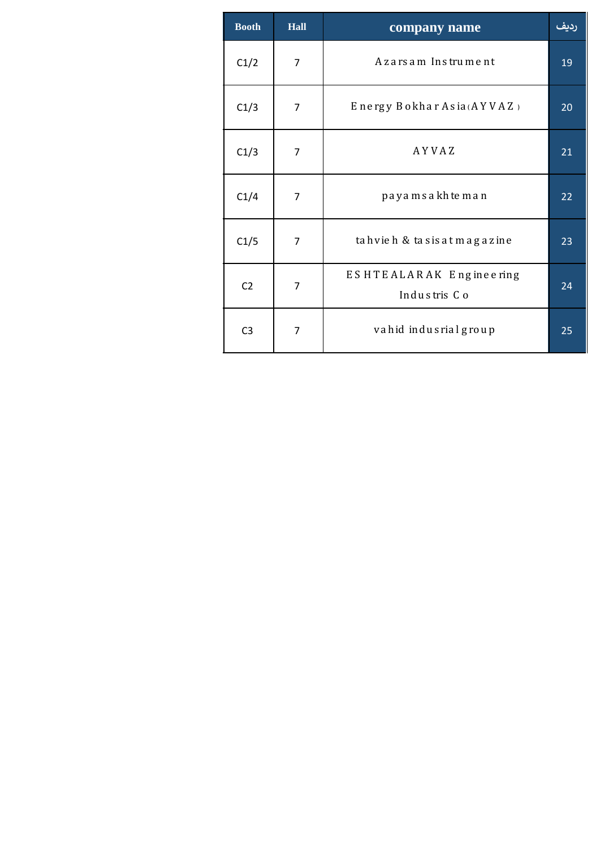| <b>Booth</b>   | <b>Hall</b>    | company name                            | رديف |
|----------------|----------------|-----------------------------------------|------|
| C1/2           | $\overline{7}$ | Azarsam Instrument                      | 19   |
| C1/3           | $\overline{7}$ | Energy Bokhar Asia (AYVAZ)              | 20   |
| C1/3           | $\overline{7}$ | AYVAZ                                   | 21   |
| C1/4           | $\overline{7}$ | payamsakhteman                          | 22   |
| C1/5           | $\overline{7}$ | tahvieh & tasis at magazine             | 23   |
| C <sub>2</sub> | $\overline{7}$ | ESHTEALARAK Engineering<br>Industris Co | 24   |
| C <sub>3</sub> | $\overline{7}$ | vahid indusrial group                   | 25   |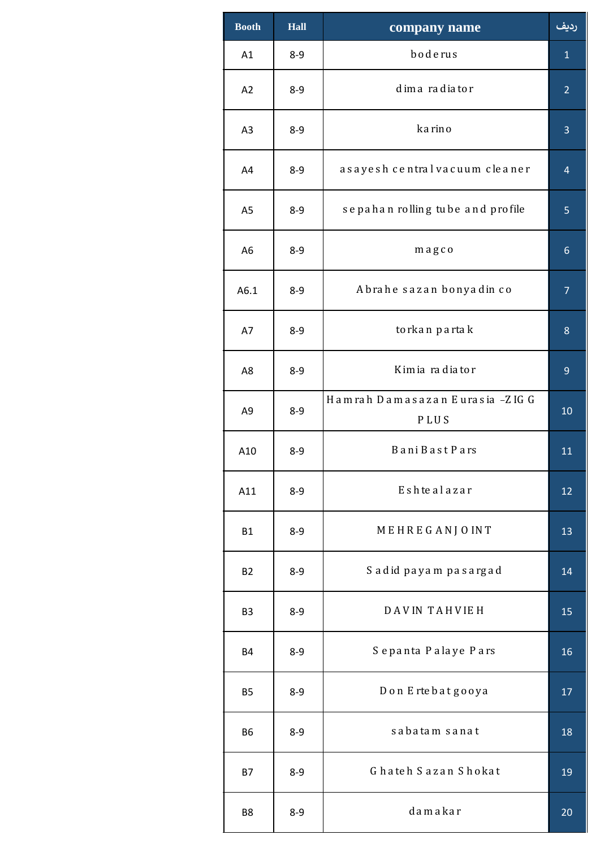| <b>Booth</b>   | <b>Hall</b> | company name                                   | رديف            |
|----------------|-------------|------------------------------------------------|-----------------|
| A1             | $8 - 9$     | boderus                                        | $\mathbf{1}$    |
| A2             | $8 - 9$     | dimaradiator                                   | $\overline{2}$  |
| A3             | $8 - 9$     | karino                                         | $\overline{3}$  |
| A4             | $8 - 9$     | asayesh central vacuum cleaner                 | $\overline{4}$  |
| A <sub>5</sub> | $8 - 9$     | sepahan rolling tube and profile               | 5               |
| A <sub>6</sub> | $8 - 9$     | magco                                          | $6\phantom{1}6$ |
| A6.1           | $8 - 9$     | Abrahe sazan bonyadin co                       | $\overline{7}$  |
| A7             | $8 - 9$     | to rkan partak                                 | 8               |
| A8             | $8 - 9$     | Kimia radiator                                 | 9               |
| A <sub>9</sub> | $8 - 9$     | Hamrah Damasazan Eurasia -ZIG G<br><b>PLUS</b> | 10              |
| A10            | $8 - 9$     | <b>BaniBastPars</b>                            | 11              |
| A11            | $8 - 9$     | Eshtealazar                                    | 12              |
| <b>B1</b>      | $8 - 9$     | MEHREGANJOINT                                  | 13              |
| <b>B2</b>      | $8 - 9$     | Sadid payam pasargad                           | 14              |
| B <sub>3</sub> | $8 - 9$     | <b>DAVIN TAHVIEH</b>                           | 15              |
| <b>B4</b>      | $8 - 9$     | Sepanta Palaye Pars                            | 16              |
| <b>B5</b>      | $8 - 9$     | Don Ertebatgooya                               | 17              |
| <b>B6</b>      | $8 - 9$     | sabatam sanat                                  | 18              |
| <b>B7</b>      | $8 - 9$     | Ghateh Sazan Shokat                            | 19              |
| B8             | $8-9$       | damakar                                        | 20              |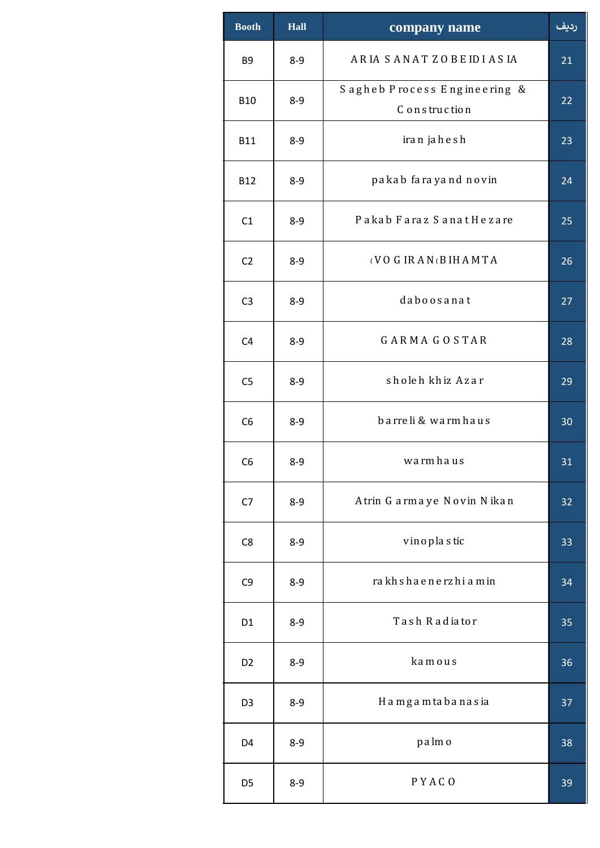| <b>Booth</b>   | <b>Hall</b> | company name                                  | رديف |
|----------------|-------------|-----------------------------------------------|------|
| B <sub>9</sub> | $8 - 9$     | ARIA SANATZOBEIDIASIA                         | 21   |
| <b>B10</b>     | $8 - 9$     | Sagheb Process Engineering &<br>C onstruction | 22   |
| <b>B11</b>     | $8 - 9$     | iran jahesh                                   | 23   |
| <b>B12</b>     | $8 - 9$     | pakab farayand novin                          | 24   |
| C1             | $8 - 9$     | Pakab Faraz Sanat Hezare                      | 25   |
| C <sub>2</sub> | $8 - 9$     | (VOGIRAN(BIHAMTA                              | 26   |
| C <sub>3</sub> | $8 - 9$     | daboosanat                                    | 27   |
| C <sub>4</sub> | $8 - 9$     | <b>GARMAGOSTAR</b>                            | 28   |
| C <sub>5</sub> | $8 - 9$     | sholeh khiz Azar                              | 29   |
| C <sub>6</sub> | $8 - 9$     | barre li & warm haus                          | 30   |
| C <sub>6</sub> | $8 - 9$     | warmhaus                                      | 31   |
| C7             | $8 - 9$     | Atrin Garmaye Novin Nikan                     | 32   |
| C8             | $8 - 9$     | vinoplastic                                   | 33   |
| C <sub>9</sub> | $8 - 9$     | rakhshaenerzhiamin                            | 34   |
| D <sub>1</sub> | $8 - 9$     | Tash Radiator                                 | 35   |
| D <sub>2</sub> | $8 - 9$     | kamous                                        | 36   |
| D <sub>3</sub> | $8 - 9$     | Hamgamtabanasia                               | 37   |
| D <sub>4</sub> | $8 - 9$     | palmo                                         | 38   |
| D <sub>5</sub> | $8-9$       | PYACO                                         | 39   |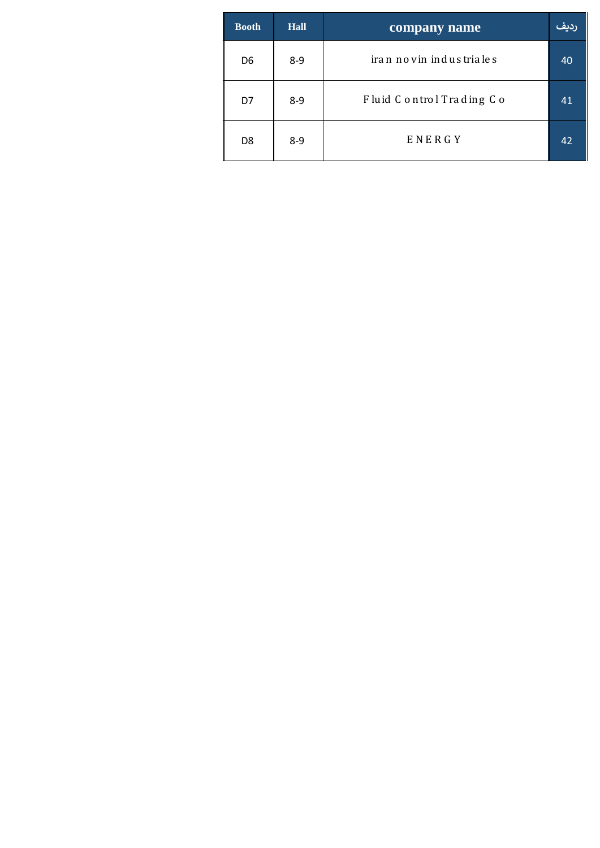| <b>Booth</b> | <b>Hall</b> | company name             | الملقة |
|--------------|-------------|--------------------------|--------|
| D6           | $8 - 9$     | iran novin industriales  | 40     |
| D7           | $8 - 9$     | Fluid Control Trading Co | 41     |
| D8           | $8 - 9$     | ENERGY                   | 42     |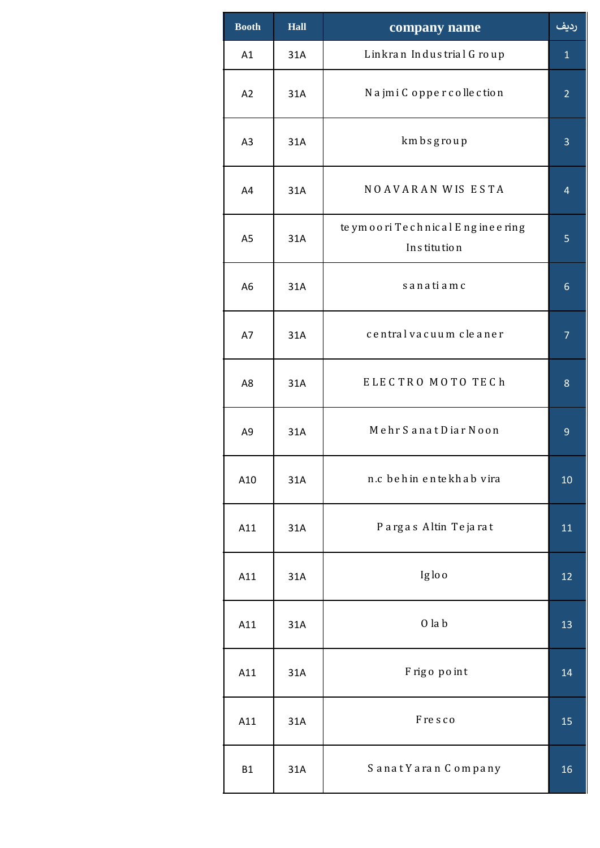| <b>Booth</b>   | <b>Hall</b> | company name                                      | رديف           |
|----------------|-------------|---------------------------------------------------|----------------|
| A1             | 31A         | Linkran Industrial Group                          | $\mathbf{1}$   |
| A2             | 31A         | Najmi Copper collection                           | $\overline{2}$ |
| A <sub>3</sub> | 31A         | kmbsgroup                                         | 3              |
| A4             | 31A         | NOAVARAN WIS ESTA                                 | $\overline{4}$ |
| A <sub>5</sub> | 31A         | te ymoori Technical Engineering<br>In s titu tion | 5              |
| A <sub>6</sub> | 31A         | sanatiamc                                         | 6              |
| A7             | 31A         | central vacuum cleaner                            | $\overline{7}$ |
| A8             | 31A         | ELECTRO MOTO TECh                                 | 8              |
| A <sub>9</sub> | 31A         | Mehr Sanat Diar Noon                              | 9              |
| A10            | 31A         | n.c behin entekhab vira                           | 10             |
| A11            | 31A         | Pargas Altin Tejarat                              | 11             |
| A11            | 31A         | Iglo o                                            | 12             |
| A11            | 31A         | $0$ la $b$                                        | 13             |
| A11            | 31A         | Frigo point                                       | 14             |
| A11            | 31A         | Fresco                                            | 15             |
| <b>B1</b>      | 31A         | Sanat Yaran Company                               | 16             |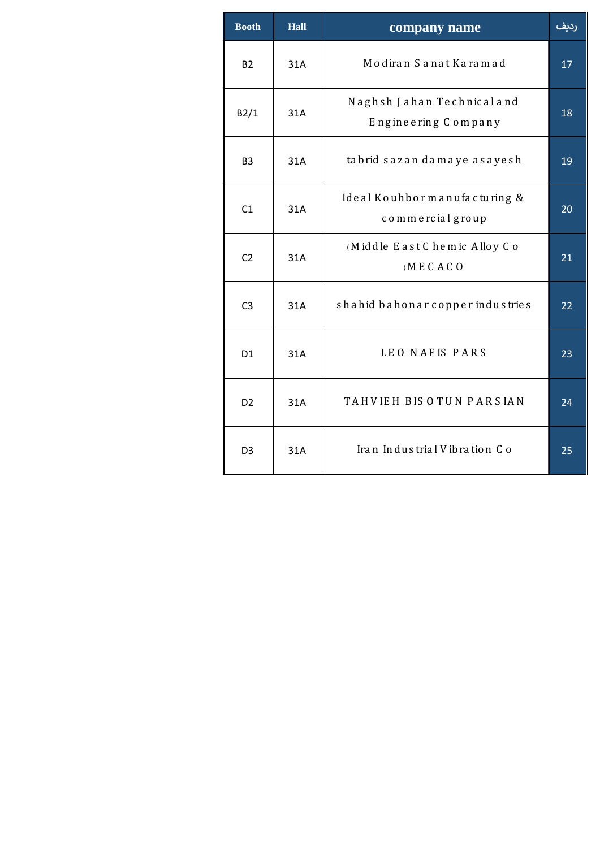| <b>Booth</b>   | <b>Hall</b> | company name                                      | رديف |
|----------------|-------------|---------------------------------------------------|------|
| <b>B2</b>      | 31A         | Modiran Sanat Karamad                             | 17   |
| B2/1           | 31A         | Naghsh Jahan Technical and<br>Engineering Company | 18   |
| B <sub>3</sub> | 31A         | tabrid sazan damaye asayesh                       | 19   |
| C1             | 31A         | Ideal Kouhbor manufacturing &<br>commercial group | 20   |
| C <sub>2</sub> | 31A         | (Middle East Chemic Alloy Co<br>(MECACO)          | 21   |
| C <sub>3</sub> | 31A         | shahid bahonar copper industries                  | 22   |
| D <sub>1</sub> | 31A         | LEO NAFIS PARS                                    | 23   |
| D <sub>2</sub> | 31A         | TAHVIEH BIS OTUN PARSIAN                          | 24   |
| D <sub>3</sub> | 31A         | Iran Industrial Vibration Co                      | 25   |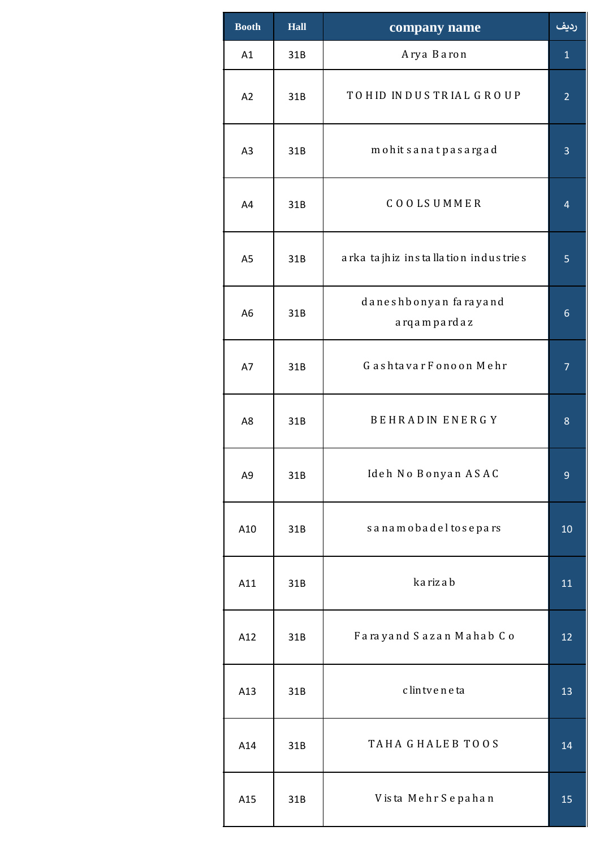| <b>Booth</b>   | Hall | company name                           | رديف           |
|----------------|------|----------------------------------------|----------------|
| A1             | 31B  | Arya Baron                             | $\mathbf{1}$   |
| A2             | 31B  | TOHID INDUSTRIAL GROUP                 | $\overline{2}$ |
| A <sub>3</sub> | 31B  | mohit sanat pasargad                   | 3              |
| A4             | 31B  | <b>COOLSUMMER</b>                      | $\overline{4}$ |
| A <sub>5</sub> | 31B  | a rka ta jh iz installation industries | 5              |
| A <sub>6</sub> | 31B  | daneshbonyan farayand<br>arqampardaz   | 6              |
| A7             | 31B  | Gashtavar Fonoon Mehr                  | 7              |
| A8             | 31B  | <b>BEHRADIN ENERGY</b>                 | 8              |
| A9             | 31B  | Ideh No Bonyan ASAC                    | 9              |
| A10            | 31B  | sanamobadeltosepars                    | 10             |
| A11            | 31B  | ka riz a b                             | 11             |
| A12            | 31B  | Farayand Sazan Mahab Co                | 12             |
| A13            | 31B  | c lin tve ne ta                        | 13             |
| A14            | 31B  | TAHA GHALEB TOOS                       | 14             |
| A15            | 31B  | Vista Mehr Sepahan                     | 15             |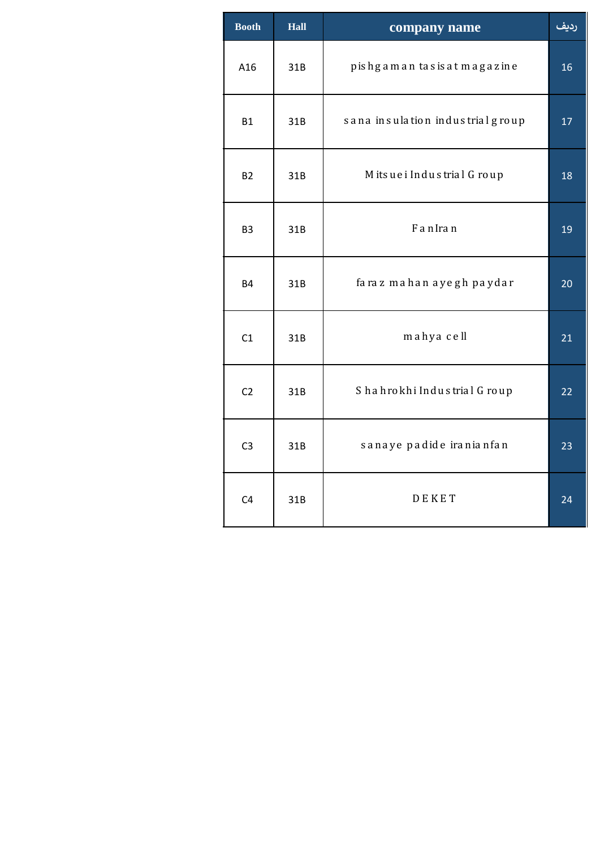| <b>Booth</b><br><b>Hall</b> |     | company name                     | رديف |
|-----------------------------|-----|----------------------------------|------|
| A16                         | 31B | pishgaman tasisat magazine       | 16   |
| B1                          | 31B | sana insulation industrial group | 17   |
| <b>B2</b>                   | 31B | Mitsuei Industrial Group         | 18   |
| B <sub>3</sub>              | 31B | FanIran                          | 19   |
| <b>B4</b>                   | 31B | faraz mahan ayegh paydar         | 20   |
| C1                          | 31B | mahya cell                       | 21   |
| C2                          | 31B | Shahrokhi Industrial Group       | 22   |
| C <sub>3</sub>              | 31B | sanaye padide iranianfan         | 23   |
| C <sub>4</sub>              | 31B | DEKET                            | 24   |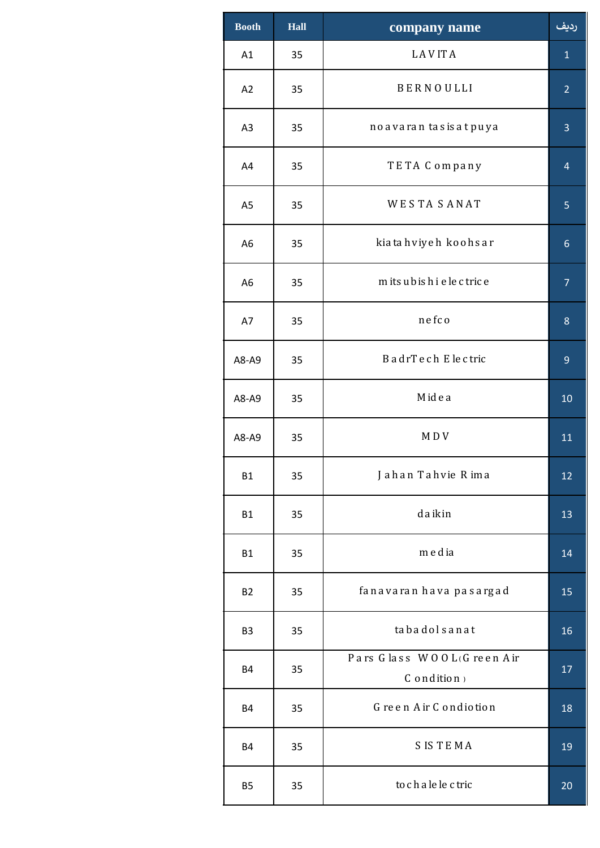| <b>Booth</b>   | <b>Hall</b> | company name                                                                   | رديف           |
|----------------|-------------|--------------------------------------------------------------------------------|----------------|
| A1             | 35          | LAVITA                                                                         | $\mathbf{1}$   |
| A2             | 35          | BERNOULLI                                                                      | $\overline{2}$ |
| A <sub>3</sub> | 35          | no a va ra n ta s is a t puya                                                  | $\overline{3}$ |
| A4             | 35          | TETA Company                                                                   | $\overline{4}$ |
| A <sub>5</sub> | 35          | <b>WESTASANAT</b>                                                              | 5              |
| A <sub>6</sub> | 35          | kia ta hviyeh koohsar                                                          | $6\phantom{1}$ |
| A <sub>6</sub> | 35          | mits ubis hi e le c tric e                                                     | $\overline{7}$ |
| A7             | 35          | nefco                                                                          | 8              |
| A8-A9          | 35          | BadrTech Electric                                                              | $\overline{9}$ |
| A8-A9          | 35          | Midea                                                                          | 10             |
| A8-A9          | 35          | MDV                                                                            | 11             |
| <b>B1</b>      | 35          | Jahan Tahvie Rima                                                              | 12             |
| <b>B1</b>      | 35          | da ikin                                                                        | 13             |
| <b>B1</b>      | 35          | media                                                                          | 14             |
| <b>B2</b>      | 35          | fanavaran hava pasargad                                                        | 15             |
| B <sub>3</sub> | 35          | tabadolsanat                                                                   | 16             |
| <b>B4</b>      | 35          | Pars Glass WOOL(Green Air<br>$\mathsf C$ o n<br>$\mathsf d$ itio n $\mathsf n$ | 17             |
| <b>B4</b>      | 35          | Green Air Condiotion                                                           | 18             |
| <b>B4</b>      | 35          | <b>SISTEMA</b>                                                                 | 19             |
| <b>B5</b>      | 35          | to chale le ctric                                                              | 20             |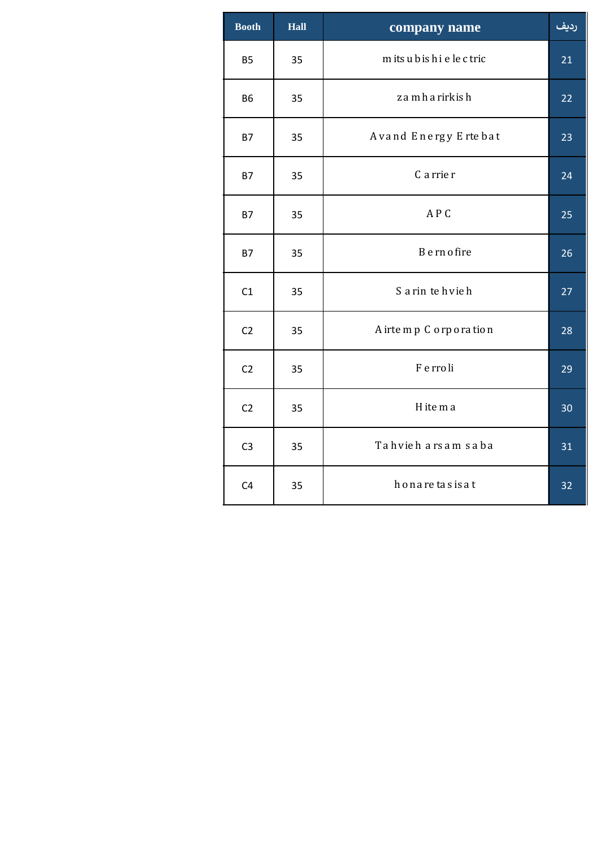| <b>Booth</b>   | Hall | company name             | رديف |
|----------------|------|--------------------------|------|
| <b>B5</b>      | 35   | mits ubis hi e le c tric | 21   |
| <b>B6</b>      | 35   | z a m h a rirkish        | 22   |
| <b>B7</b>      | 35   | Avand Energy Ertebat     | 23   |
| <b>B7</b>      | 35   | C a rrie r               | 24   |
| <b>B7</b>      | 35   | APC                      | 25   |
| <b>B7</b>      | 35   | B e rn o fire            | 26   |
| C1             | 35   | S a rin te hvie h        | 27   |
| C <sub>2</sub> | 35   | A irte m p C orporation  | 28   |
| C <sub>2</sub> | 35   | F e rro li               | 29   |
| C <sub>2</sub> | 35   | H ite m a                | 30   |
| C <sub>3</sub> | 35   | Tahvieh arsam saba       | 31   |
| C <sub>4</sub> | 35   | honaretasisat            | 32   |
|                |      |                          |      |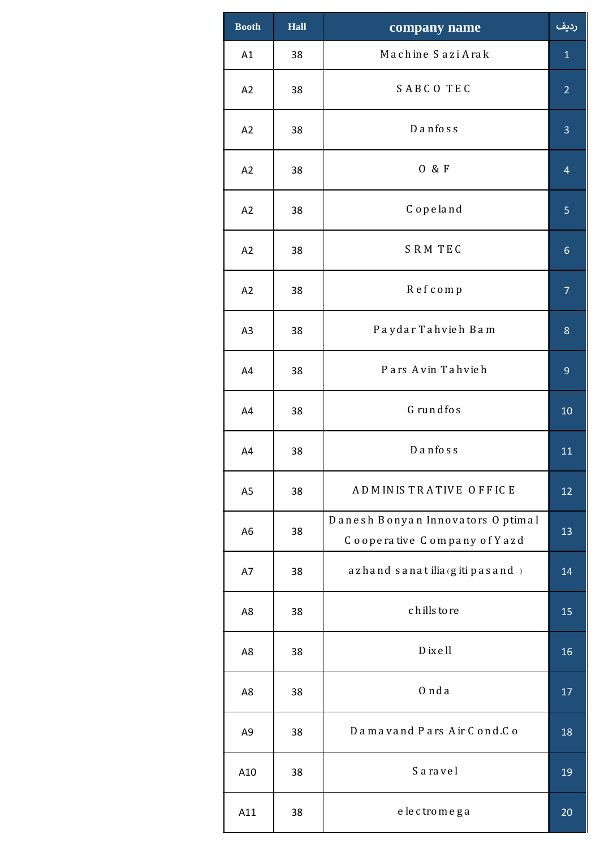| <b>Booth</b>   | Hall | company name                                                    | رديف           |
|----------------|------|-----------------------------------------------------------------|----------------|
| A1             | 38   | Machine Sazi Arak                                               | $\mathbf 1$    |
| A2             | 38   | SABCO TEC                                                       | $\overline{2}$ |
| A2             | 38   | $D$ anfoss                                                      | 3              |
| A2             | 38   | 0 & F                                                           | $\overline{4}$ |
| A2             | 38   | Copeland                                                        | 5              |
| A2             | 38   | SRM TEC                                                         | $\sqrt{6}$     |
| A2             | 38   | Refcomp                                                         | $\overline{7}$ |
| A <sub>3</sub> | 38   | Paydar Tahvieh Bam                                              | $\bf 8$        |
| A4             | 38   | Pars Avin Tahvieh                                               | 9              |
| A4             | 38   | Grundfos                                                        | 10             |
| A4             | 38   | $D$ anfoss                                                      | 11             |
| A <sub>5</sub> | 38   | ADMINISTRATIVE OFFICE                                           | 12             |
| A <sub>6</sub> | 38   | Danesh Bonyan Innovators Optimal<br>Cooperative Company of Yazd | 13             |
| A7             | 38   | azhand sanat ilia (giti pasand)                                 | 14             |
| A8             | 38   | chills to re                                                    | 15             |
| A8             | 38   | D ix ell                                                        | 16             |
| A8             | 38   | 0 nda                                                           | 17             |
| A <sub>9</sub> | 38   | Damavand Pars Air Cond.Co                                       | 18             |
| A10            | 38   | Saravel                                                         | 19             |
| A11            | 38   | electromega                                                     | 20             |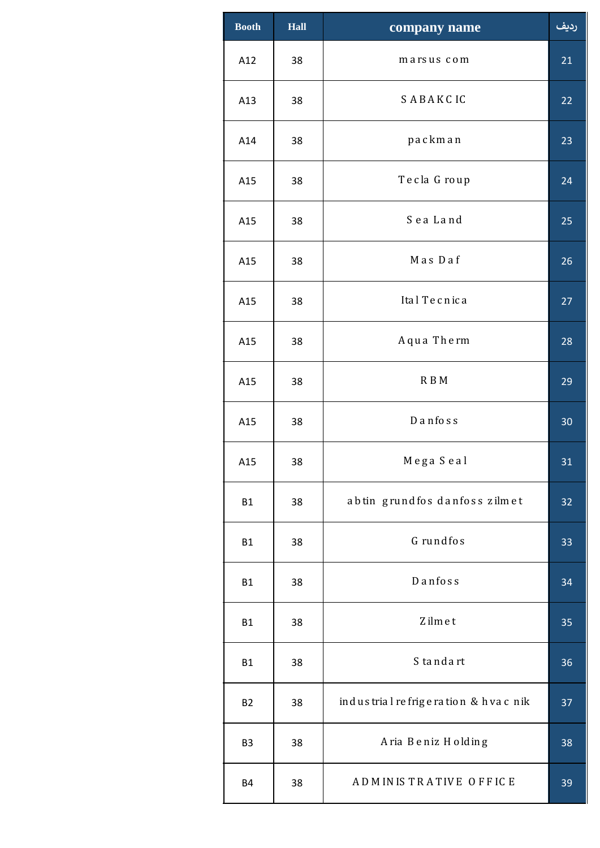| <b>Booth</b>   | <b>Hall</b> | company name                        | رديف            |
|----------------|-------------|-------------------------------------|-----------------|
| A12            | 38          | marsus com                          | 21              |
| A13            | 38          | SABAKCIC                            | 22              |
| A14            | 38          | packman                             | 23              |
| A15            | 38          | Tecla Group                         | 24              |
| A15            | 38          | Sea Land                            | 25              |
| A15            | 38          | Mas Daf                             | 26              |
| A15            | 38          | Ital Tecnica                        | 27              |
| A15            | 38          | Aqua Therm                          | 28              |
| A15            | 38          | R B M                               | 29              |
| A15            | 38          | $D$ anfoss                          | 30              |
| A15            | 38          | Mega Seal                           | 31              |
| <b>B1</b>      | 38          | abtin grundfos danfoss zilmet       | 32              |
| <b>B1</b>      | 38          | Grundfos                            | 33              |
| <b>B1</b>      | 38          | $D$ anfoss                          | 34              |
| <b>B1</b>      | 38          | Zilmet                              | 35              |
| <b>B1</b>      | 38          | S tandart                           | 36              |
| <b>B2</b>      | 38          | industrial refrigeration & hvac nik | $\overline{37}$ |
| B <sub>3</sub> | 38          | Aria Beniz Holding                  | 38              |
| <b>B4</b>      | 38          | ADMINISTRATIVE OFFICE               | 39              |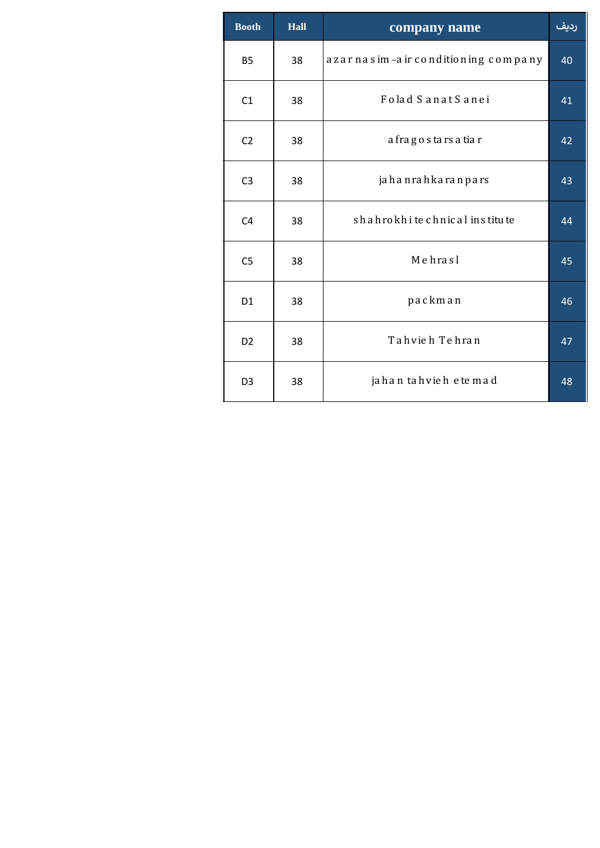| <b>Booth</b>   | <b>Hall</b> | company name                        | رديف |
|----------------|-------------|-------------------------------------|------|
| <b>B5</b>      | 38          | azar nasim-air conditioning company | 40   |
| C1             | 38          | Folad Sanat Sanei                   | 41   |
| C <sub>2</sub> | 38          | a fragostars a tiar                 | 42   |
| C <sub>3</sub> | 38          | ja ha nra h ka ra npa rs            | 43   |
| C <sub>4</sub> | 38          | shahrokhi te chnical institute      | 44   |
| C <sub>5</sub> | 38          | Mehrasl                             | 45   |
| D <sub>1</sub> | 38          | packman                             | 46   |
| D <sub>2</sub> | 38          | Tahvieh Tehran                      | 47   |
| D <sub>3</sub> | 38          | jahan tahvieh etemad                | 48   |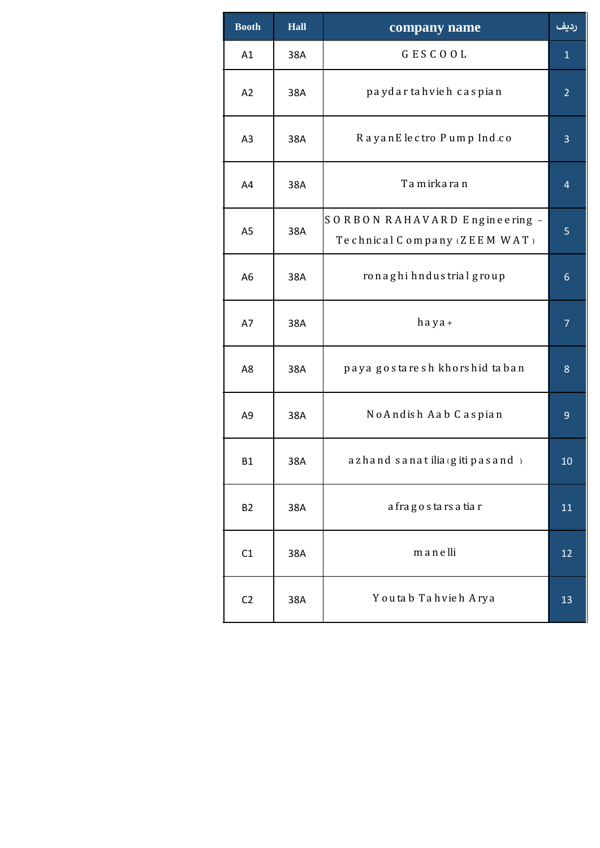| <b>Booth</b>   | Hall | company name                                                  | رديف           |
|----------------|------|---------------------------------------------------------------|----------------|
| A1             | 38A  | GESCOOL                                                       | $\mathbf{1}$   |
| A2             | 38A  | paydar tahvieh caspian                                        | $\overline{2}$ |
| A <sub>3</sub> | 38A  | RayanElectro Pump Ind.co                                      | 3              |
| A4             | 38A  | Tamirkaran                                                    | 4              |
| A <sub>5</sub> | 38A  | SORBON RAHAVARD Engineering -<br>Technical Company (ZEEM WAT) | 5              |
| A <sub>6</sub> | 38A  | ronaghi hndustrial group                                      | 6              |
| A7             | 38A  | haya+                                                         | $\overline{7}$ |
| A8             | 38A  | paya gostaresh khorshid taban                                 | 8              |
| A9             | 38A  | No Andish Aab Caspian                                         | 9              |
| <b>B1</b>      | 38A  | azhand sanat ilia (giti pasand)                               | 10             |
| <b>B2</b>      | 38A  | a fragostars a tiar                                           | 11             |
| C1             | 38A  | manelli                                                       | 12             |
| C <sub>2</sub> | 38A  | Youtab Tahvieh Arya                                           | 13             |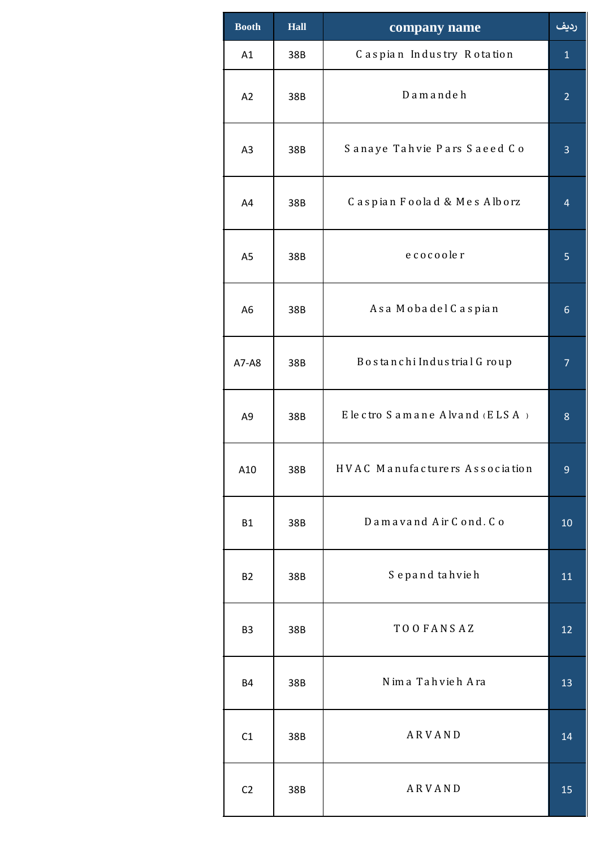| <b>Booth</b>   | <b>Hall</b> | company name                   | رديف           |
|----------------|-------------|--------------------------------|----------------|
| A1             | 38B         | Caspian Industry Rotation      | $\mathbf{1}$   |
| A2             | 38B         | Damandeh                       | $\overline{2}$ |
| A <sub>3</sub> | 38B         | Sanaye Tahvie Pars Saeed Co    | 3              |
| A4             | 38B         | Caspian Foolad & Mes Alborz    | $\overline{4}$ |
| A <sub>5</sub> | 38B         | ecocooler                      | 5              |
| A <sub>6</sub> | 38B         | Asa Mobadel Caspian            | 6              |
| A7-A8          | 38B         | Bostanchi Industrial Group     | $\overline{7}$ |
| A9             | 38B         | Electro Samane Alvand (ELSA)   | 8              |
| A10            | 38B         | HVAC Manufacturers Association | 9              |
| <b>B1</b>      | 38B         | Damavand Air Cond. Co          | 10             |
| <b>B2</b>      | 38B         | Sepand tahvieh                 | 11             |
| B <sub>3</sub> | 38B         | TO OFANSAZ                     | 12             |
| <b>B4</b>      | 38B         | Nima Tahvieh Ara               | 13             |
| C1             | 38B         | ARVAND                         | 14             |
| C <sub>2</sub> | 38B         | ARVAND                         | 15             |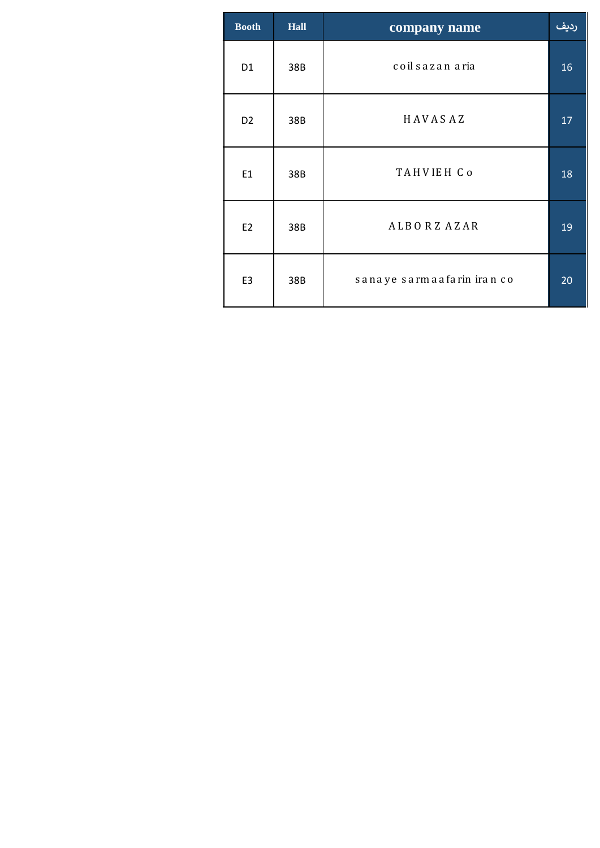| <b>Booth</b>   | <b>Hall</b> | company name               | ردیف |
|----------------|-------------|----------------------------|------|
| D <sub>1</sub> | 38B         | coil sazan aria            | 16   |
| D <sub>2</sub> | 38B         | HAVASAZ                    | 17   |
| E1             | 38B         | TAHVIEH Co                 | 18   |
| E <sub>2</sub> | 38B         | ALBORZ AZAR                | 19   |
| E <sub>3</sub> | 38B         | sanaye sarmaafarin iran co | 20   |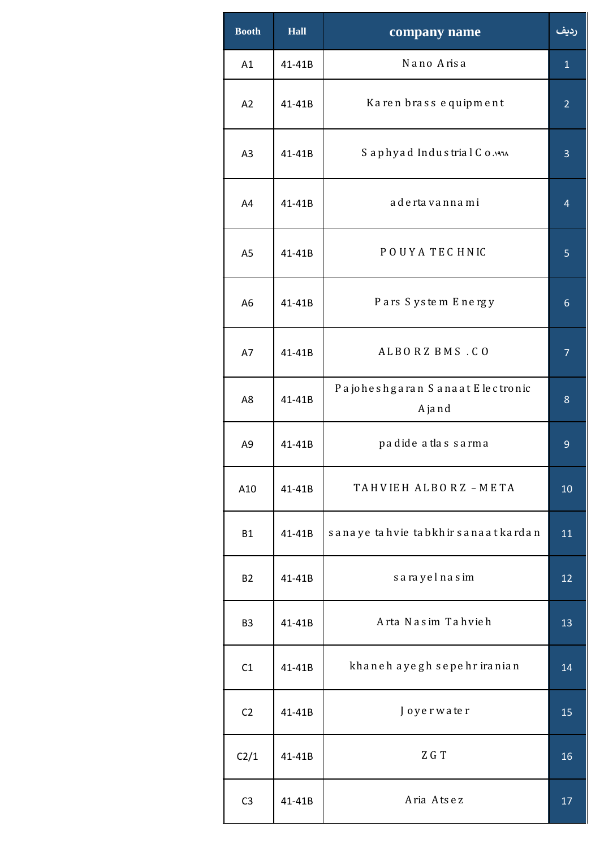| <b>Booth</b>   | <b>Hall</b> | company name                              | رديف           |
|----------------|-------------|-------------------------------------------|----------------|
| A1             | 41-41B      | Nano Arisa                                | $\mathbf{1}$   |
| A2             | 41-41B      | Karen brass equipment                     | $\overline{2}$ |
| A <sub>3</sub> | 41-41B      | Saphyad Industrial Co.                    | 3              |
| A4             | 41-41B      | a de rta va nna mi                        | $\overline{4}$ |
| A <sub>5</sub> | 41-41B      | POUYA TECHNIC                             | 5              |
| A <sub>6</sub> | 41-41B      | Pars System Energy                        | 6              |
| A7             | 41-41B      | ALBORZBMS.CO                              | $\overline{7}$ |
| A8             | 41-41B      | Pajoheshgaran Sanaat E lectronic<br>Ajand | 8              |
| A <sub>9</sub> | 41-41B      | padide atlas sarma                        | 9              |
| A10            | 41-41B      | TAHVIEH ALBORZ-META                       | 10             |
| <b>B1</b>      | 41-41B      | sanaye tahvie tabkhir sanaat kardan       | 11             |
| <b>B2</b>      | 41-41B      | sarayelnasim                              | 12             |
| B <sub>3</sub> | 41-41B      | Arta Nasim Tahvieh                        | 13             |
| C1             | 41-41B      | khaneh ayegh sepehr iranian               | 14             |
| C <sub>2</sub> | 41-41B      | Joyerwater                                | 15             |
| C2/1           | 41-41B      | ZGT                                       | 16             |
| C <sub>3</sub> | 41-41B      | Aria Atsez                                | 17             |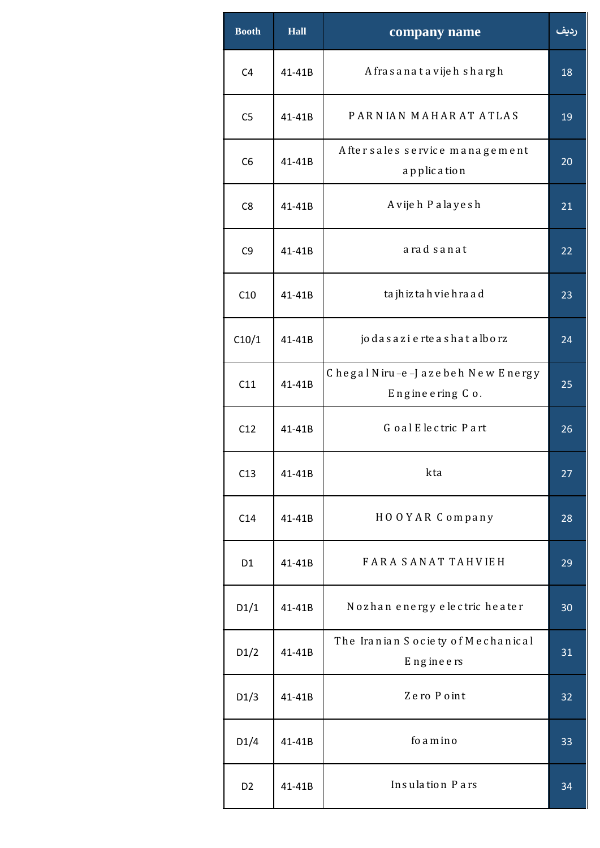| <b>Booth</b>   | <b>Hall</b> | company name                                        | رديف |
|----------------|-------------|-----------------------------------------------------|------|
| C <sub>4</sub> | 41-41B      | A frasanatavijeh shargh                             | 18   |
| C <sub>5</sub> | 41-41B      | PARNIAN MAHARAT ATLAS                               | 19   |
| C <sub>6</sub> | 41-41B      | After sales service management<br>a pplic a tion    | 20   |
| C <sub>8</sub> | 41-41B      | Avijeh Palayesh                                     | 21   |
| C <sub>9</sub> | 41-41B      | arad sanat                                          | 22   |
| C10            | 41-41B      | ta jh iz ta h vie h ra a d                          | 23   |
| C10/1          | 41-41B      | jo das azi e rte as hat alborz                      | 24   |
| C11            | 41-41B      | Chegal Niru-e-Jazebeh New Energy<br>Engineering Co. | 25   |
| C12            | 41-41B      | Goal Electric Part                                  | 26   |
| C13            | 41-41B      | kta                                                 | 27   |
| C14            | 41-41B      | HOOYAR Company                                      | 28   |
| D <sub>1</sub> | 41-41B      | FARA SANAT TAHVIEH                                  | 29   |
| D1/1           | 41-41B      | Nozhan energy electric heater                       | 30   |
| D1/2           | 41-41B      | The Iranian Society of Mechanical<br>Engineers      | 31   |
| D1/3           | 41-41B      | Zero Point                                          | 32   |
| D1/4           | 41-41B      | fo a m in o                                         | 33   |
| D <sub>2</sub> | 41-41B      | Insulation Pars                                     | 34   |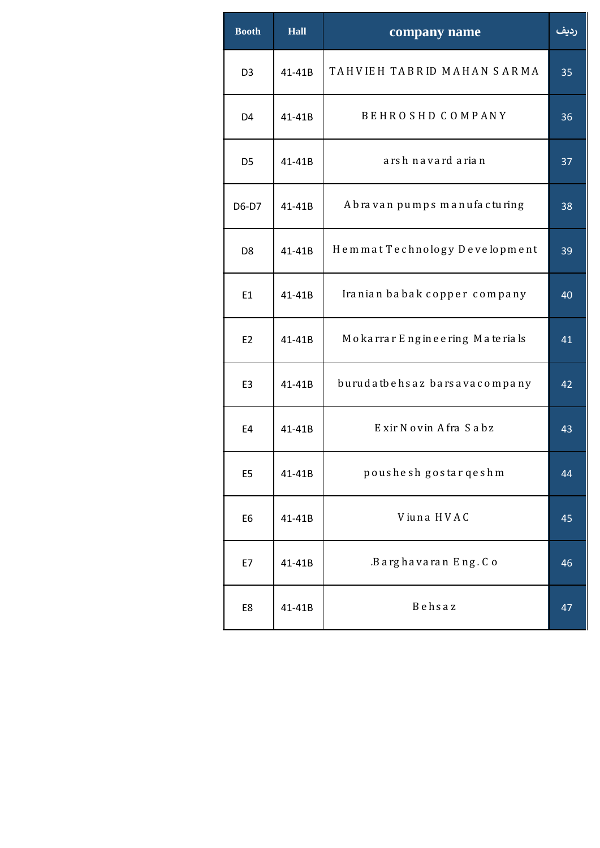| <b>Booth</b>   | <b>Hall</b> | company name                     | رديف |
|----------------|-------------|----------------------------------|------|
| D <sub>3</sub> | 41-41B      | TAHVIEH TABRID MAHAN SARMA       | 35   |
| D <sub>4</sub> | 41-41B      | <b>BEHROSHD COMPANY</b>          | 36   |
| D <sub>5</sub> | 41-41B      | arsh navard arian                | 37   |
| D6-D7          | 41-41B      | Abravan pumps manufacturing      | 38   |
| D <sub>8</sub> | 41-41B      | Hemmat Technology Development    | 39   |
| E1             | 41-41B      | Iranian babak copper company     | 40   |
| E2             | 41-41B      | Mokarrar Engine e ring Materials | 41   |
| E3             | 41-41B      | burudatbehsaz barsavacompany     | 42   |
| E4             | 41-41B      | Exir Novin Afra Sabz             | 43   |
| E <sub>5</sub> | 41-41B      | poushesh gostar qeshm            | 44   |
| E6             | 41-41B      | Viuna HVAC                       | 45   |
| E7             | 41-41B      | .Barghavaran Eng. Co             | 46   |
| E8             | 41-41B      | Behsaz                           | 47   |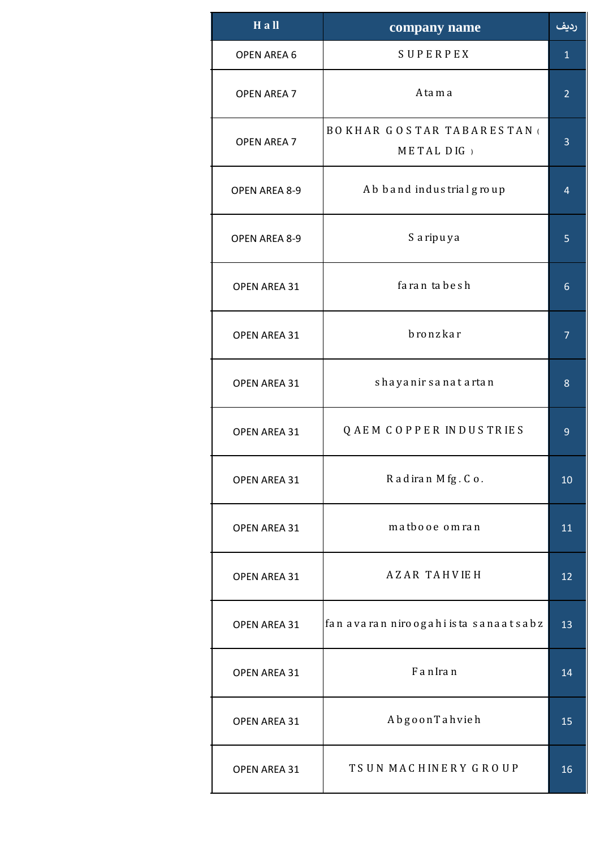| $H$ all            | company name                                     | <u>رديف</u>    |
|--------------------|--------------------------------------------------|----------------|
| <b>OPEN AREA 6</b> | SUPERPEX                                         | $\mathbf{1}$   |
| <b>OPEN AREA 7</b> | A ta m a                                         | $\overline{2}$ |
| <b>OPEN AREA 7</b> | <b>BOKHAR GOSTAR TABARESTAN (</b><br>METAL DIG ) | 3              |
| OPEN AREA 8-9      | Ab band industrial group                         | 4              |
| OPEN AREA 8-9      | S a ripuya                                       | 5              |
| OPEN AREA 31       | farantabesh                                      | 6              |
| OPEN AREA 31       | bronzkar                                         | $\overline{7}$ |
| OPEN AREA 31       | shayanir sanat artan                             | 8              |
| OPEN AREA 31       | QAEM COPPER INDUSTRIES                           | 9              |
| OPEN AREA 31       | Radiran Mfg.Co.                                  | 10             |
| OPEN AREA 31       | matbooe omran                                    | 11             |
| OPEN AREA 31       | <b>AZAR TAHVIEH</b>                              | 12             |
| OPEN AREA 31       | fan avaran niro ogahi ista sanaat sabz           | 13             |
| OPEN AREA 31       | FanIran                                          | 14             |
| OPEN AREA 31       | AbgoonTahvieh                                    | 15             |
| OPEN AREA 31       | TSUN MACHINERY GROUP                             | 16             |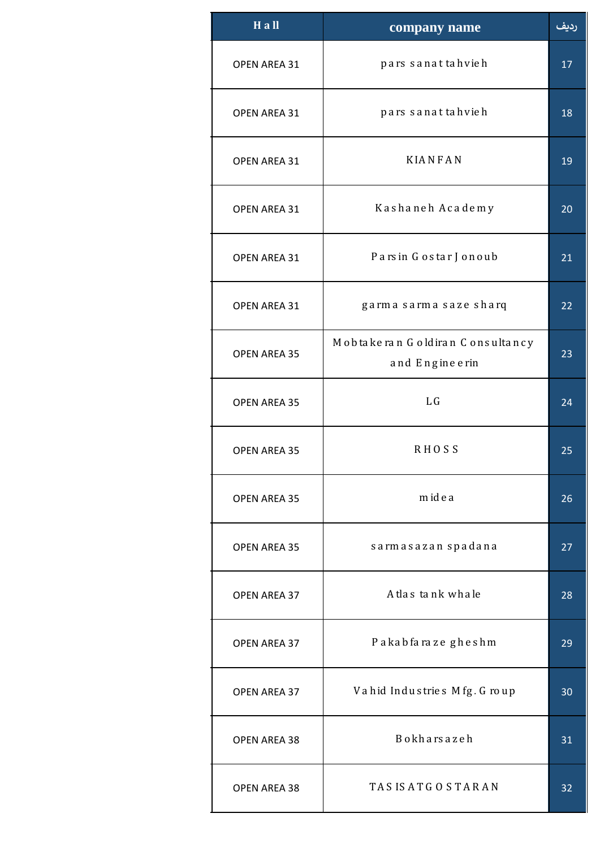| $H$ all             | company name                                      | رديف |
|---------------------|---------------------------------------------------|------|
| OPEN AREA 31        | pars sanattahvieh                                 | 17   |
| OPEN AREA 31        | pars sanattahvieh                                 | 18   |
| <b>OPEN AREA 31</b> | <b>KIANFAN</b>                                    | 19   |
| OPEN AREA 31        | Kashaneh Academy                                  | 20   |
| <b>OPEN AREA 31</b> | Parsin Gostar Jonoub                              | 21   |
| OPEN AREA 31        | garma sarma saze sharq                            | 22   |
| <b>OPEN AREA 35</b> | Mobtakeran Goldiran Consultancy<br>and Engineerin | 23   |
| <b>OPEN AREA 35</b> | L <sub>G</sub>                                    | 24   |
| <b>OPEN AREA 35</b> | <b>RHOSS</b>                                      | 25   |
| <b>OPEN AREA 35</b> | midea                                             | 26   |
| <b>OPEN AREA 35</b> | sarmasazan spadana                                | 27   |
| <b>OPEN AREA 37</b> | A tlas tank whale                                 | 28   |
| <b>OPEN AREA 37</b> | Pakabfaraze gheshm                                | 29   |
| OPEN AREA 37        | Vahid Industries Mfg. Group                       | 30   |
| OPEN AREA 38        | <b>Bokharsazeh</b>                                | 31   |
| OPEN AREA 38        | TASIS ATGOSTARAN                                  | 32   |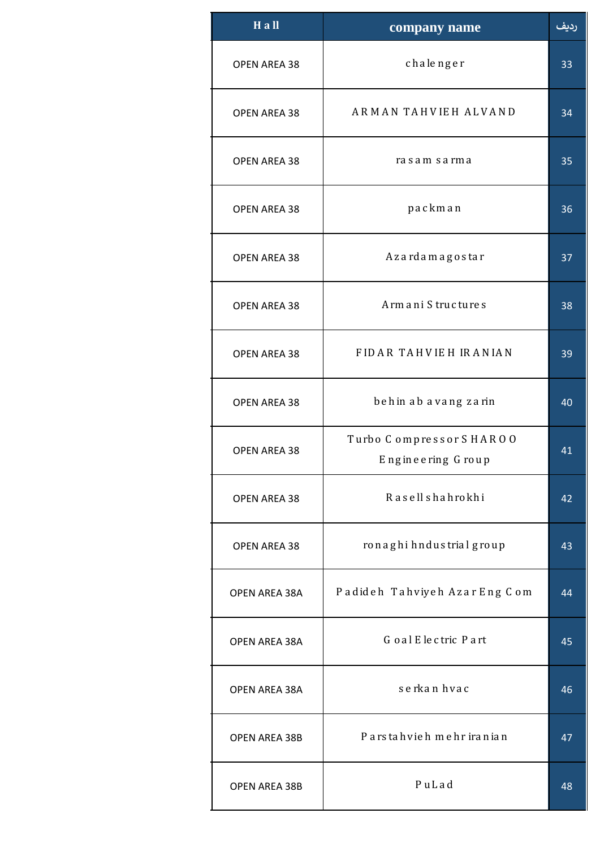| $H$ all              | company name                                 | رديف |
|----------------------|----------------------------------------------|------|
| <b>OPEN AREA 38</b>  | chalenger                                    | 33   |
| <b>OPEN AREA 38</b>  | ARMAN TAHVIEH ALVAND                         | 34   |
| <b>OPEN AREA 38</b>  | rasam sarma                                  | 35   |
| <b>OPEN AREA 38</b>  | packman                                      | 36   |
| <b>OPEN AREA 38</b>  | Azardamagostar                               | 37   |
| <b>OPEN AREA 38</b>  | Armani Structures                            | 38   |
| <b>OPEN AREA 38</b>  | FIDAR TAHVIEH IRANIAN                        | 39   |
| <b>OPEN AREA 38</b>  | behin ab avang zarin                         | 40   |
| <b>OPEN AREA 38</b>  | Turbo Compressor SHAROO<br>Engineering Group | 41   |
| <b>OPEN AREA 38</b>  | Rasellshahrokhi                              | 42   |
| <b>OPEN AREA 38</b>  | ronaghi hndus trial group                    | 43   |
| <b>OPEN AREA 38A</b> | Padideh Tahviyeh AzarEng Com                 | 44   |
| <b>OPEN AREA 38A</b> | Goal Electric Part                           | 45   |
| <b>OPEN AREA 38A</b> | serkan hvac                                  | 46   |
| <b>OPEN AREA 38B</b> | Parstahvieh mehr iranian                     | 47   |
| <b>OPEN AREA 38B</b> | PuLad                                        | 48   |